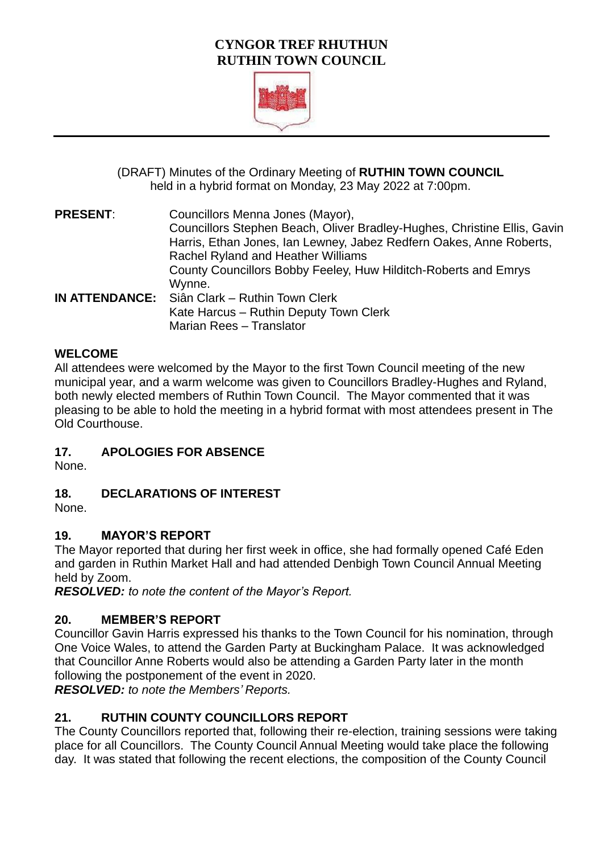### **CYNGOR TREF RHUTHUN RUTHIN TOWN COUNCIL**



#### (DRAFT) Minutes of the Ordinary Meeting of **RUTHIN TOWN COUNCIL**  held in a hybrid format on Monday, 23 May 2022 at 7:00pm.

| <b>PRESENT:</b>       | Councillors Menna Jones (Mayor),                                         |
|-----------------------|--------------------------------------------------------------------------|
|                       | Councillors Stephen Beach, Oliver Bradley-Hughes, Christine Ellis, Gavin |
|                       | Harris, Ethan Jones, Ian Lewney, Jabez Redfern Oakes, Anne Roberts,      |
|                       | Rachel Ryland and Heather Williams                                       |
|                       | County Councillors Bobby Feeley, Huw Hilditch-Roberts and Emrys          |
|                       | Wynne.                                                                   |
| <b>IN ATTENDANCE:</b> | Siân Clark – Ruthin Town Clerk                                           |
|                       | Kate Harcus - Ruthin Deputy Town Clerk                                   |
|                       | Marian Rees - Translator                                                 |

#### **WELCOME**

All attendees were welcomed by the Mayor to the first Town Council meeting of the new municipal year, and a warm welcome was given to Councillors Bradley-Hughes and Ryland, both newly elected members of Ruthin Town Council. The Mayor commented that it was pleasing to be able to hold the meeting in a hybrid format with most attendees present in The Old Courthouse.

#### **17. APOLOGIES FOR ABSENCE**

None.

## **18. DECLARATIONS OF INTEREST**

None.

#### **19. MAYOR'S REPORT**

The Mayor reported that during her first week in office, she had formally opened Café Eden and garden in Ruthin Market Hall and had attended Denbigh Town Council Annual Meeting held by Zoom.

*RESOLVED: to note the content of the Mayor's Report.*

## **20. MEMBER'S REPORT**

Councillor Gavin Harris expressed his thanks to the Town Council for his nomination, through One Voice Wales, to attend the Garden Party at Buckingham Palace. It was acknowledged that Councillor Anne Roberts would also be attending a Garden Party later in the month following the postponement of the event in 2020.

*RESOLVED: to note the Members' Reports.*

## **21. RUTHIN COUNTY COUNCILLORS REPORT**

The County Councillors reported that, following their re-election, training sessions were taking place for all Councillors. The County Council Annual Meeting would take place the following day. It was stated that following the recent elections, the composition of the County Council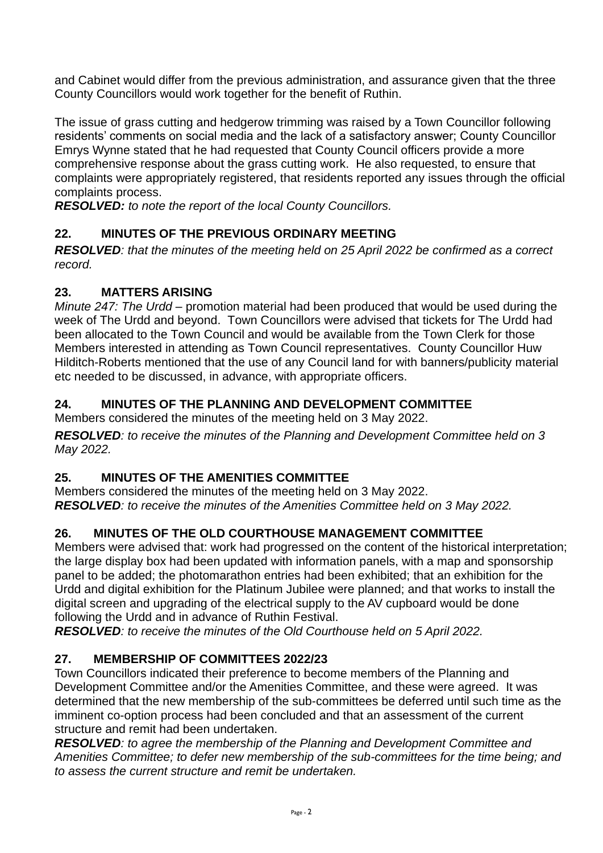and Cabinet would differ from the previous administration, and assurance given that the three County Councillors would work together for the benefit of Ruthin.

The issue of grass cutting and hedgerow trimming was raised by a Town Councillor following residents' comments on social media and the lack of a satisfactory answer; County Councillor Emrys Wynne stated that he had requested that County Council officers provide a more comprehensive response about the grass cutting work. He also requested, to ensure that complaints were appropriately registered, that residents reported any issues through the official complaints process.

*RESOLVED: to note the report of the local County Councillors.*

## **22. MINUTES OF THE PREVIOUS ORDINARY MEETING**

*RESOLVED: that the minutes of the meeting held on 25 April 2022 be confirmed as a correct record.* 

## **23. MATTERS ARISING**

*Minute 247: The Urdd* – promotion material had been produced that would be used during the week of The Urdd and beyond. Town Councillors were advised that tickets for The Urdd had been allocated to the Town Council and would be available from the Town Clerk for those Members interested in attending as Town Council representatives. County Councillor Huw Hilditch-Roberts mentioned that the use of any Council land for with banners/publicity material etc needed to be discussed, in advance, with appropriate officers.

# **24. MINUTES OF THE PLANNING AND DEVELOPMENT COMMITTEE**

Members considered the minutes of the meeting held on 3 May 2022.

*RESOLVED: to receive the minutes of the Planning and Development Committee held on 3 May 2022.* 

# **25. MINUTES OF THE AMENITIES COMMITTEE**

Members considered the minutes of the meeting held on 3 May 2022. *RESOLVED: to receive the minutes of the Amenities Committee held on 3 May 2022.* 

## **26. MINUTES OF THE OLD COURTHOUSE MANAGEMENT COMMITTEE**

Members were advised that: work had progressed on the content of the historical interpretation; the large display box had been updated with information panels, with a map and sponsorship panel to be added; the photomarathon entries had been exhibited; that an exhibition for the Urdd and digital exhibition for the Platinum Jubilee were planned; and that works to install the digital screen and upgrading of the electrical supply to the AV cupboard would be done following the Urdd and in advance of Ruthin Festival.

*RESOLVED: to receive the minutes of the Old Courthouse held on 5 April 2022.*

# **27. MEMBERSHIP OF COMMITTEES 2022/23**

Town Councillors indicated their preference to become members of the Planning and Development Committee and/or the Amenities Committee, and these were agreed. It was determined that the new membership of the sub-committees be deferred until such time as the imminent co-option process had been concluded and that an assessment of the current structure and remit had been undertaken.

*RESOLVED: to agree the membership of the Planning and Development Committee and Amenities Committee; to defer new membership of the sub-committees for the time being; and to assess the current structure and remit be undertaken.*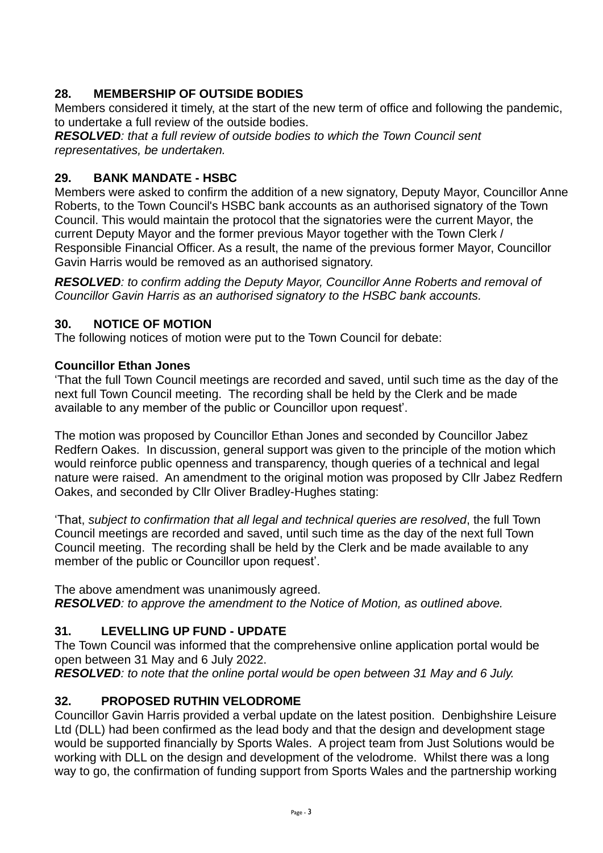## **28. MEMBERSHIP OF OUTSIDE BODIES**

Members considered it timely, at the start of the new term of office and following the pandemic, to undertake a full review of the outside bodies.

*RESOLVED: that a full review of outside bodies to which the Town Council sent representatives, be undertaken.*

#### **29. BANK MANDATE - HSBC**

Members were asked to confirm the addition of a new signatory, Deputy Mayor, Councillor Anne Roberts, to the Town Council's HSBC bank accounts as an authorised signatory of the Town Council. This would maintain the protocol that the signatories were the current Mayor, the current Deputy Mayor and the former previous Mayor together with the Town Clerk / Responsible Financial Officer. As a result, the name of the previous former Mayor, Councillor Gavin Harris would be removed as an authorised signatory.

*RESOLVED: to confirm adding the Deputy Mayor, Councillor Anne Roberts and removal of Councillor Gavin Harris as an authorised signatory to the HSBC bank accounts.* 

#### **30. NOTICE OF MOTION**

The following notices of motion were put to the Town Council for debate:

#### **Councillor Ethan Jones**

'That the full Town Council meetings are recorded and saved, until such time as the day of the next full Town Council meeting. The recording shall be held by the Clerk and be made available to any member of the public or Councillor upon request'.

The motion was proposed by Councillor Ethan Jones and seconded by Councillor Jabez Redfern Oakes. In discussion, general support was given to the principle of the motion which would reinforce public openness and transparency, though queries of a technical and legal nature were raised. An amendment to the original motion was proposed by Cllr Jabez Redfern Oakes, and seconded by Cllr Oliver Bradley-Hughes stating:

'That, *subject to confirmation that all legal and technical queries are resolved*, the full Town Council meetings are recorded and saved, until such time as the day of the next full Town Council meeting. The recording shall be held by the Clerk and be made available to any member of the public or Councillor upon request'.

The above amendment was unanimously agreed. *RESOLVED: to approve the amendment to the Notice of Motion, as outlined above.*

## **31. LEVELLING UP FUND - UPDATE**

The Town Council was informed that the comprehensive online application portal would be open between 31 May and 6 July 2022.

*RESOLVED: to note that the online portal would be open between 31 May and 6 July.*

#### **32. PROPOSED RUTHIN VELODROME**

Councillor Gavin Harris provided a verbal update on the latest position. Denbighshire Leisure Ltd (DLL) had been confirmed as the lead body and that the design and development stage would be supported financially by Sports Wales. A project team from Just Solutions would be working with DLL on the design and development of the velodrome. Whilst there was a long way to go, the confirmation of funding support from Sports Wales and the partnership working